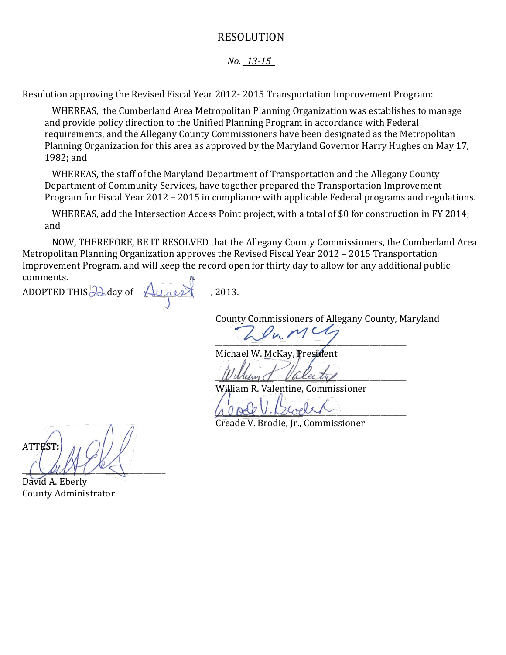## RESOLUTION

## *No. \_13-15\_*

Resolution approving the Revised Fiscal Year 2012- 2015 Transportation Improvement Program:

WHEREAS, the Cumberland Area Metropolitan Planning Organization was establishes to manage and provide policy direction to the Unified Planning Program in accordance with Federal requirements, and the Allegany County Commissioners have been designated as the Metropolitan Planning Organization for this area as approved by the Maryland Governor Harry Hughes on May 17, 1982; and

WHEREAS, the staff of the Maryland Department of Transportation and the Allegany County Department of Community Services, have together prepared the Transportation Improvement Program for Fiscal Year 2012 – 2015 in compliance with applicable Federal programs and regulations.

WHEREAS, add the Intersection Access Point project, with a total of \$0 for construction in FY 2014; and

NOW, THEREFORE, BE IT RESOLVED that the Allegany County Commissioners, the Cumberland Area Metropolitan Planning Organization approves the Revised Fiscal Year 2012 – 2015 Transportation Improvement Program, and will keep the record open for thirty day to allow for any additional public comments.

ADOPTED THIS  $\triangle$  day of  $\triangle$ ugust , 2013.

County Commissioners of Allegany County, Maryland

 $\overline{\phantom{a}}$ 

Michael W. McKay, President

 $\nu$ aleity

William R. Valentine, Commissioner

 $\wedge \vee$  bel  $\vee$ . Diversity

Creade V. Brodie, Jr., Commissioner

**ATTEST**  $\bigcup$ 

David A. Eberly County Administrator